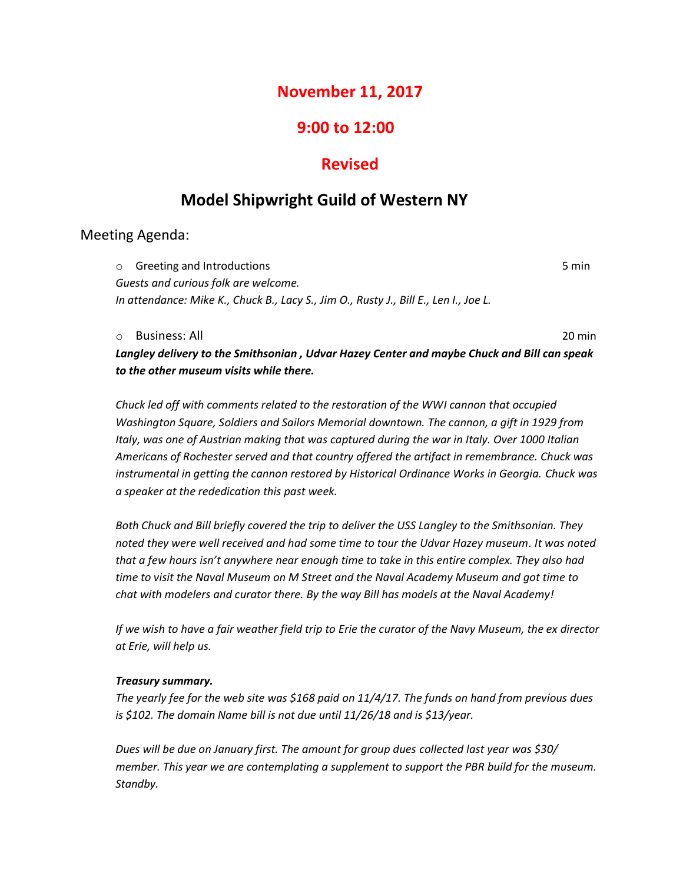## **November 11, 2017**

## **9:00 to 12:00**

## **Revised**

# **Model Shipwright Guild of Western NY**

## Meeting Agenda:

| $\circ$ Greeting and Introductions                                                   | 5 min |
|--------------------------------------------------------------------------------------|-------|
| Guests and curious folk are welcome.                                                 |       |
| In attendance: Mike K., Chuck B., Lacy S., Jim O., Rusty J., Bill E., Len I., Joe L. |       |

o Business: All 20 min

*Langley delivery to the Smithsonian , Udvar Hazey Center and maybe Chuck and Bill can speak to the other museum visits while there.*

*Chuck led off with comments related to the restoration of the WWI cannon that occupied Washington Square, Soldiers and Sailors Memorial downtown. The cannon, a gift in 1929 from Italy, was one of Austrian making that was captured during the war in Italy. Over 1000 Italian Americans of Rochester served and that country offered the artifact in remembrance. Chuck was instrumental in getting the cannon restored by Historical Ordinance Works in Georgia. Chuck was a speaker at the rededication this past week.*

*Both Chuck and Bill briefly covered the trip to deliver the USS Langley to the Smithsonian. They noted they were well received and had some time to tour the Udvar Hazey museum. It was noted that a few hours isn't anywhere near enough time to take in this entire complex. They also had time to visit the Naval Museum on M Street and the Naval Academy Museum and got time to chat with modelers and curator there. By the way Bill has models at the Naval Academy!*

*If we wish to have a fair weather field trip to Erie the curator of the Navy Museum, the ex director at Erie, will help us.*

### *Treasury summary.*

*The yearly fee for the web site was \$168 paid on 11/4/17. The funds on hand from previous dues is \$102. The domain Name bill is not due until 11/26/18 and is \$13/year.*

*Dues will be due on January first. The amount for group dues collected last year was \$30/ member. This year we are contemplating a supplement to support the PBR build for the museum. Standby.*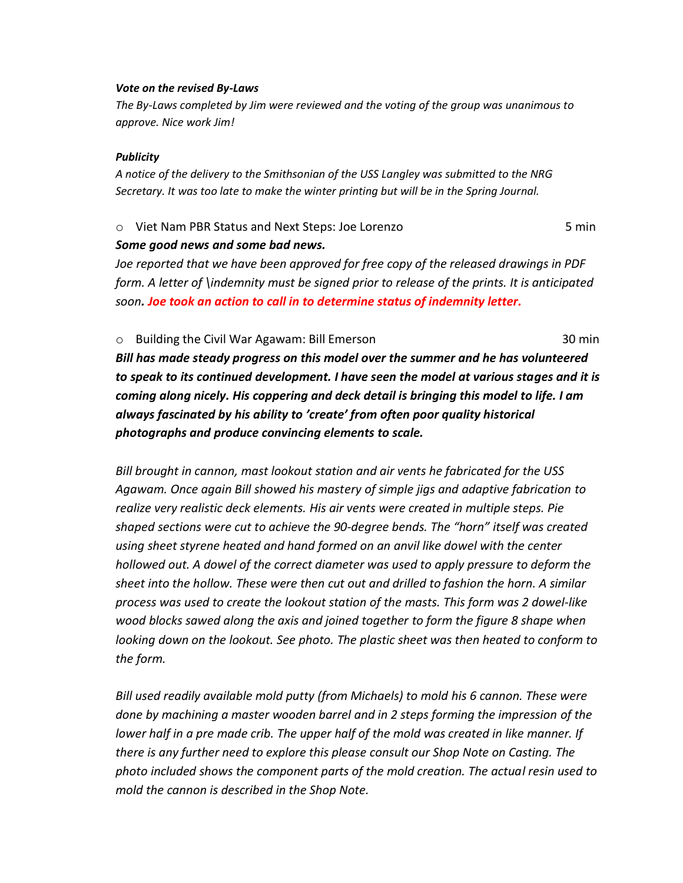#### *Vote on the revised By-Laws*

*The By-Laws completed by Jim were reviewed and the voting of the group was unanimous to approve. Nice work Jim!*

#### *Publicity*

*A notice of the delivery to the Smithsonian of the USS Langley was submitted to the NRG Secretary. It was too late to make the winter printing but will be in the Spring Journal.*

### o Viet Nam PBR Status and Next Steps: Joe Lorenzo 5 min *Some good news and some bad news.*

*Joe reported that we have been approved for free copy of the released drawings in PDF form. A letter of \indemnity must be signed prior to release of the prints. It is anticipated soon. Joe took an action to call in to determine status of indemnity letter.*

#### o Building the Civil War Agawam: Bill Emerson 30 min

*Bill has made steady progress on this model over the summer and he has volunteered to speak to its continued development. I have seen the model at various stages and it is coming along nicely. His coppering and deck detail is bringing this model to life. I am always fascinated by his ability to 'create' from often poor quality historical photographs and produce convincing elements to scale.*

*Bill brought in cannon, mast lookout station and air vents he fabricated for the USS Agawam. Once again Bill showed his mastery of simple jigs and adaptive fabrication to realize very realistic deck elements. His air vents were created in multiple steps. Pie shaped sections were cut to achieve the 90-degree bends. The "horn" itself was created using sheet styrene heated and hand formed on an anvil like dowel with the center hollowed out. A dowel of the correct diameter was used to apply pressure to deform the sheet into the hollow. These were then cut out and drilled to fashion the horn. A similar process was used to create the lookout station of the masts. This form was 2 dowel-like wood blocks sawed along the axis and joined together to form the figure 8 shape when looking down on the lookout. See photo. The plastic sheet was then heated to conform to the form.*

*Bill used readily available mold putty (from Michaels) to mold his 6 cannon. These were done by machining a master wooden barrel and in 2 steps forming the impression of the lower half in a pre made crib. The upper half of the mold was created in like manner. If there is any further need to explore this please consult our Shop Note on Casting. The photo included shows the component parts of the mold creation. The actual resin used to mold the cannon is described in the Shop Note.*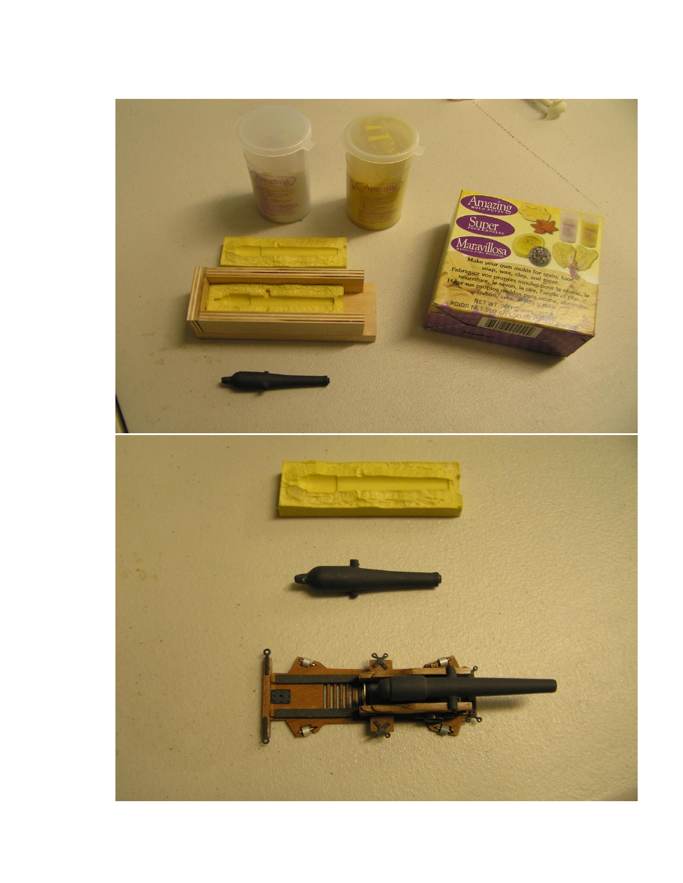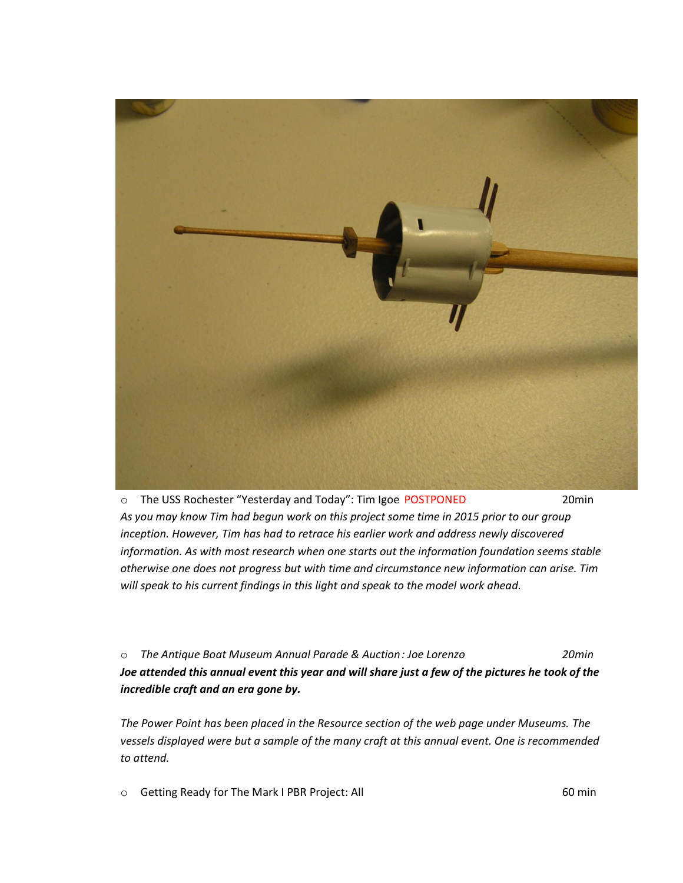

o The USS Rochester "Yesterday and Today": Tim Igoe POSTPONED 20min *As you may know Tim had begun work on this project some time in 2015 prior to our group inception. However, Tim has had to retrace his earlier work and address newly discovered information. As with most research when one starts out the information foundation seems stable otherwise one does not progress but with time and circumstance new information can arise. Tim will speak to his current findings in this light and speak to the model work ahead.*

o *The Antique Boat Museum Annual Parade & Auction: Joe Lorenzo 20min Joe attended this annual event this year and will share just a few of the pictures he took of the incredible craft and an era gone by.*

*The Power Point has been placed in the Resource section of the web page under Museums. The vessels displayed were but a sample of the many craft at this annual event. One is recommended to attend.*

o Getting Ready for The Mark I PBR Project: All 60 min